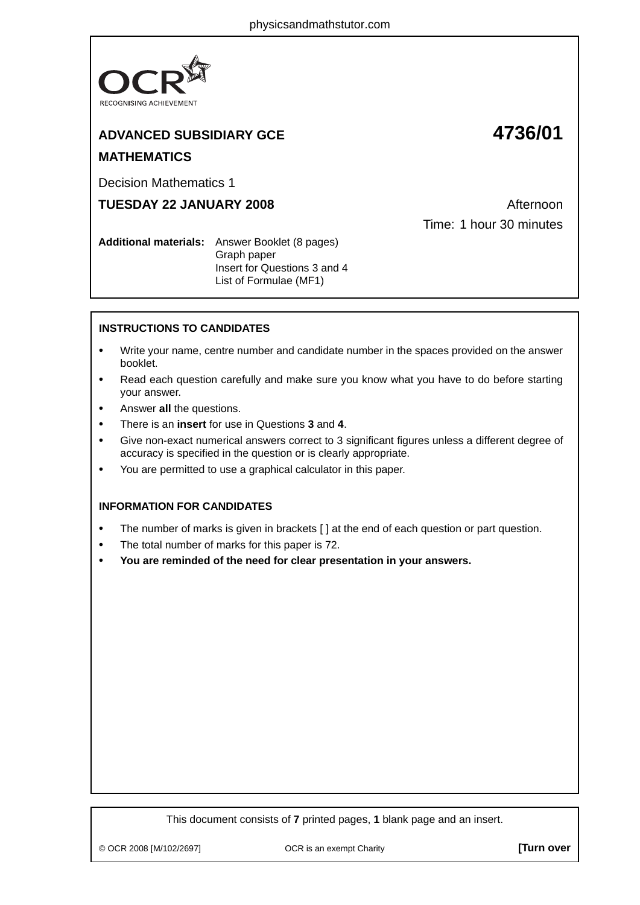

# **ADVANCED SUBSIDIARY GCE 4736/01 MATHEMATICS**

Decision Mathematics 1

**TUESDAY 22 JANUARY 2008** Afternoon

Time: 1 hour 30 minutes

**Additional materials:** Answer Booklet (8 pages) Graph paper Insert for Questions 3 and 4 List of Formulae (MF1)

# **INSTRUCTIONS TO CANDIDATES**

- **•** Write your name, centre number and candidate number in the spaces provided on the answer booklet.
- **•** Read each question carefully and make sure you know what you have to do before starting your answer.
- **•** Answer **all** the questions.
- **•** There is an **insert** for use in Questions **3** and **4**.
- **•** Give non-exact numerical answers correct to 3 significant figures unless a different degree of accuracy is specified in the question or is clearly appropriate.
- **•** You are permitted to use a graphical calculator in this paper.

## **INFORMATION FOR CANDIDATES**

- **•** The number of marks is given in brackets [ ] at the end of each question or part question.
- **•** The total number of marks for this paper is 72.
- **• You are reminded of the need for clear presentation in your answers.**

This document consists of **7** printed pages, **1** blank page and an insert.

© OCR 2008 [M/102/2697] OCR is an exempt Charity **[Turn over**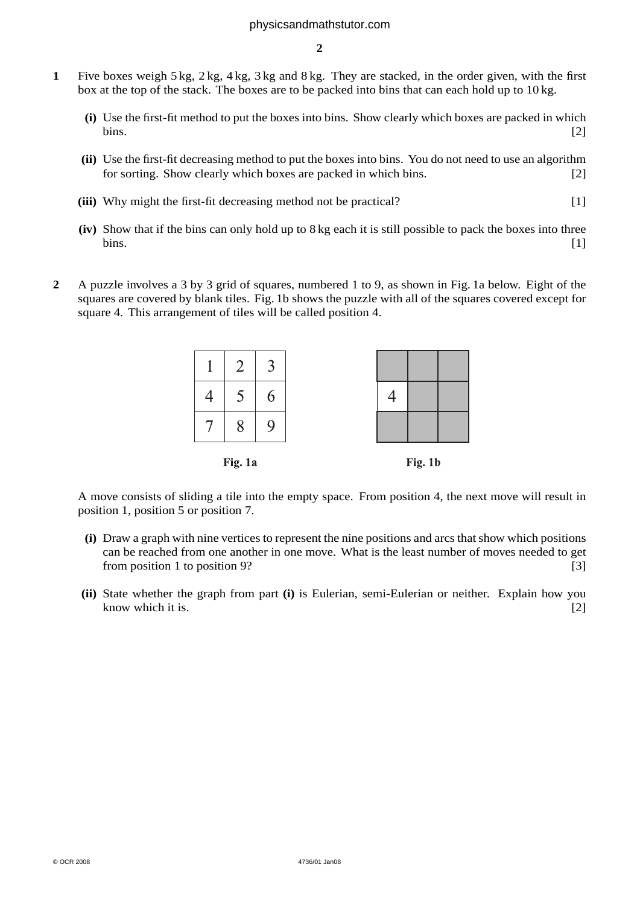**2**

- **1** Five boxes weigh 5 kg, 2 kg, 4 kg, 3 kg and 8 kg. They are stacked, in the order given, with the first box at the top of the stack. The boxes are to be packed into bins that can each hold up to 10 kg.
	- **(i)** Use the first-fit method to put the boxes into bins. Show clearly which boxes are packed in which  $bins.$  [2]
	- **(ii)** Use the first-fit decreasing method to put the boxes into bins. You do not need to use an algorithm for sorting. Show clearly which boxes are packed in which bins. [2]
	- **(iii)** Why might the first-fit decreasing method not be practical? [1]
	- **(iv)** Show that if the bins can only hold up to 8 kg each it is still possible to pack the boxes into three  $bins.$  [1]
- **2** A puzzle involves a 3 by 3 grid of squares, numbered 1 to 9, as shown in Fig. 1a below. Eight of the squares are covered by blank tiles. Fig. 1b shows the puzzle with all of the squares covered except for square 4. This arrangement of tiles will be called position 4.



A move consists of sliding a tile into the empty space. From position 4, the next move will result in position 1, position 5 or position 7.

- **(i)** Draw a graph with nine vertices to represent the nine positions and arcs that show which positions can be reached from one another in one move. What is the least number of moves needed to get from position 1 to position 9?  $[3]$
- **(ii)** State whether the graph from part **(i)** is Eulerian, semi-Eulerian or neither. Explain how you know which it is.  $[2]$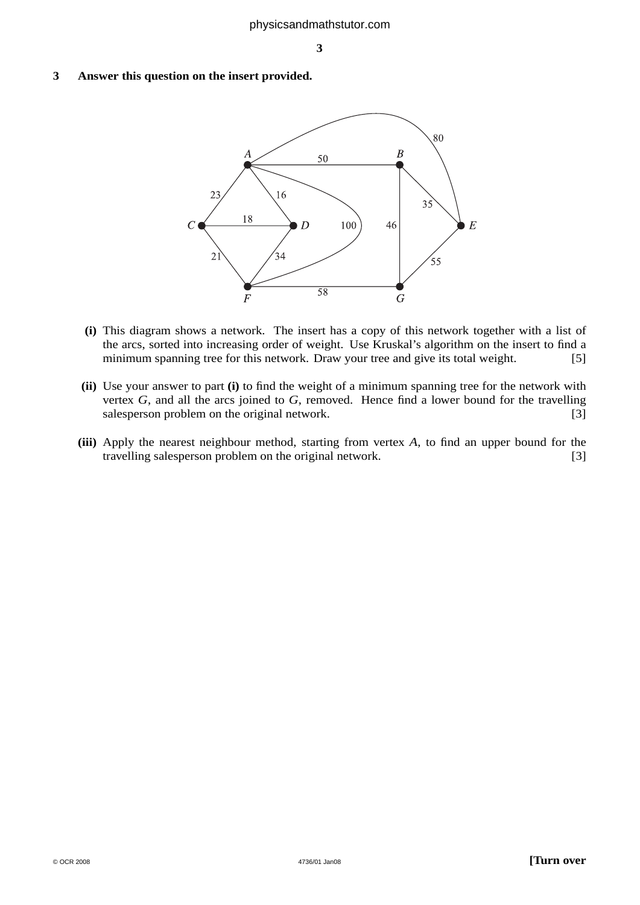**3 Answer this question on the insert provided.**



- **(i)** This diagram shows a network. The insert has a copy of this network together with a list of the arcs, sorted into increasing order of weight. Use Kruskal's algorithm on the insert to find a minimum spanning tree for this network. Draw your tree and give its total weight. [5]
- **(ii)** Use your answer to part **(i)** to find the weight of a minimum spanning tree for the network with vertex *G*, and all the arcs joined to *G*, removed. Hence find a lower bound for the travelling salesperson problem on the original network. [3]
- **(iii)** Apply the nearest neighbour method, starting from vertex *A*, to find an upper bound for the travelling salesperson problem on the original network. [3]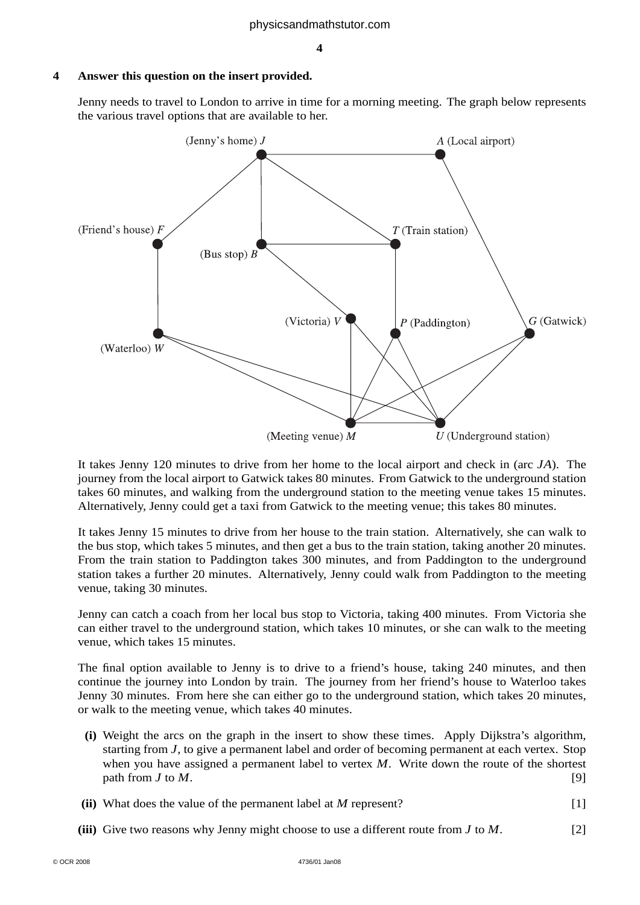### **4 Answer this question on the insert provided.**

Jenny needs to travel to London to arrive in time for a morning meeting. The graph below represents the various travel options that are available to her.



It takes Jenny 120 minutes to drive from her home to the local airport and check in (arc *JA*). The journey from the local airport to Gatwick takes 80 minutes. From Gatwick to the underground station takes 60 minutes, and walking from the underground station to the meeting venue takes 15 minutes. Alternatively, Jenny could get a taxi from Gatwick to the meeting venue; this takes 80 minutes.

It takes Jenny 15 minutes to drive from her house to the train station. Alternatively, she can walk to the bus stop, which takes 5 minutes, and then get a bus to the train station, taking another 20 minutes. From the train station to Paddington takes 300 minutes, and from Paddington to the underground station takes a further 20 minutes. Alternatively, Jenny could walk from Paddington to the meeting venue, taking 30 minutes.

Jenny can catch a coach from her local bus stop to Victoria, taking 400 minutes. From Victoria she can either travel to the underground station, which takes 10 minutes, or she can walk to the meeting venue, which takes 15 minutes.

The final option available to Jenny is to drive to a friend's house, taking 240 minutes, and then continue the journey into London by train. The journey from her friend's house to Waterloo takes Jenny 30 minutes. From here she can either go to the underground station, which takes 20 minutes, or walk to the meeting venue, which takes 40 minutes.

- **(i)** Weight the arcs on the graph in the insert to show these times. Apply Dijkstra's algorithm, starting from *J*, to give a permanent label and order of becoming permanent at each vertex. Stop when you have assigned a permanent label to vertex *M*. Write down the route of the shortest path from  $J$  to  $M$ . [9]
- **(ii)** What does the value of the permanent label at *M* represent? [1]
- **(iii)** Give two reasons why Jenny might choose to use a different route from  $J$  to  $M$ . [2]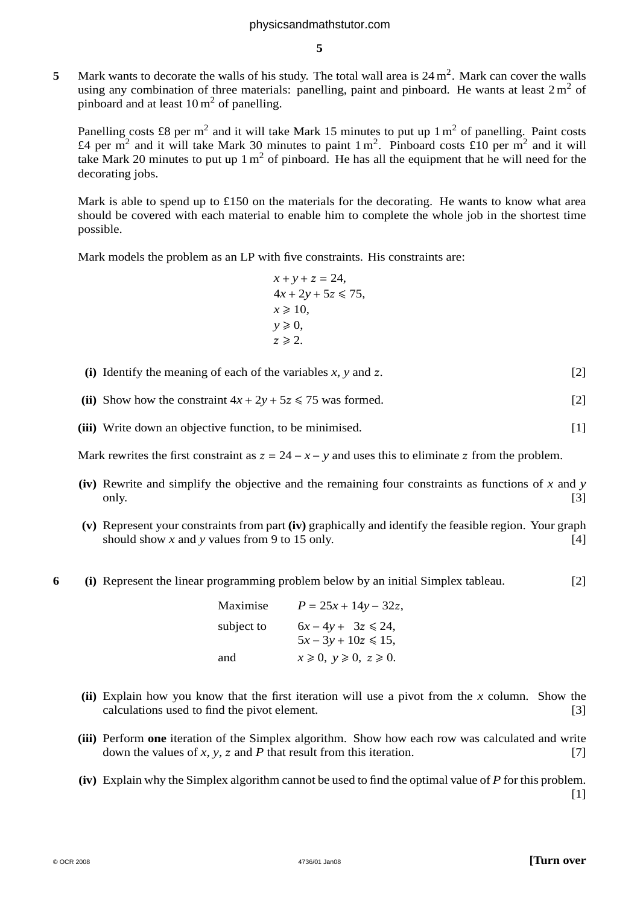**5**

**5** Mark wants to decorate the walls of his study. The total wall area is  $24 \text{ m}^2$ . Mark can cover the walls using any combination of three materials: panelling, paint and pinboard. He wants at least  $2 m<sup>2</sup>$  of pinboard and at least  $10 \text{ m}^2$  of panelling.

Panelling costs £8 per  $m^2$  and it will take Mark 15 minutes to put up 1  $m^2$  of panelling. Paint costs £4 per m<sup>2</sup> and it will take Mark 30 minutes to paint  $1 \text{ m}^2$ . Pinboard costs £10 per m<sup>2</sup> and it will take Mark 20 minutes to put up  $1 \text{ m}^2$  of pinboard. He has all the equipment that he will need for the decorating jobs.

Mark is able to spend up to £150 on the materials for the decorating. He wants to know what area should be covered with each material to enable him to complete the whole job in the shortest time possible.

Mark models the problem as an LP with five constraints. His constraints are:

$$
x + y + z = 24,
$$
  
\n
$$
4x + 2y + 5z \le 75,
$$
  
\n
$$
x \ge 10,
$$
  
\n
$$
y \ge 0,
$$
  
\n
$$
z \ge 2.
$$

- **(i)** Identify the meaning of each of the variables  $x$ ,  $y$  and  $z$ . [2]
- (ii) Show how the constraint  $4x + 2y + 5z \le 75$  was formed. [2]

**(iii)** Write down an objective function, to be minimised. [1]

Mark rewrites the first constraint as  $z = 24 - x - y$  and uses this to eliminate z from the problem.

- **(iv)** Rewrite and simplify the objective and the remaining four constraints as functions of *x* and *y* only. [3]
- **(v)** Represent your constraints from part **(iv)** graphically and identify the feasible region. Your graph should show *x* and *y* values from 9 to 15 only.  $[4]$
- **6 (i)** Represent the linear programming problem below by an initial Simplex tableau. [2]

| Maximise   | $P = 25x + 14y - 32z$ ,                             |
|------------|-----------------------------------------------------|
| subject to | $6x - 4y + 3z \le 24$ ,<br>$5x - 3y + 10z \le 15$ , |
| and        | $x \ge 0$ , $y \ge 0$ , $z \ge 0$ .                 |

- **(ii)** Explain how you know that the first iteration will use a pivot from the *x* column. Show the calculations used to find the pivot element. [3]
- **(iii)** Perform **one** iteration of the Simplex algorithm. Show how each row was calculated and write down the values of *x*, *y*, *z* and *P* that result from this iteration.  $[7]$
- **(iv)** Explain why the Simplex algorithm cannot be used to find the optimal value of *P* for this problem.

 $[1]$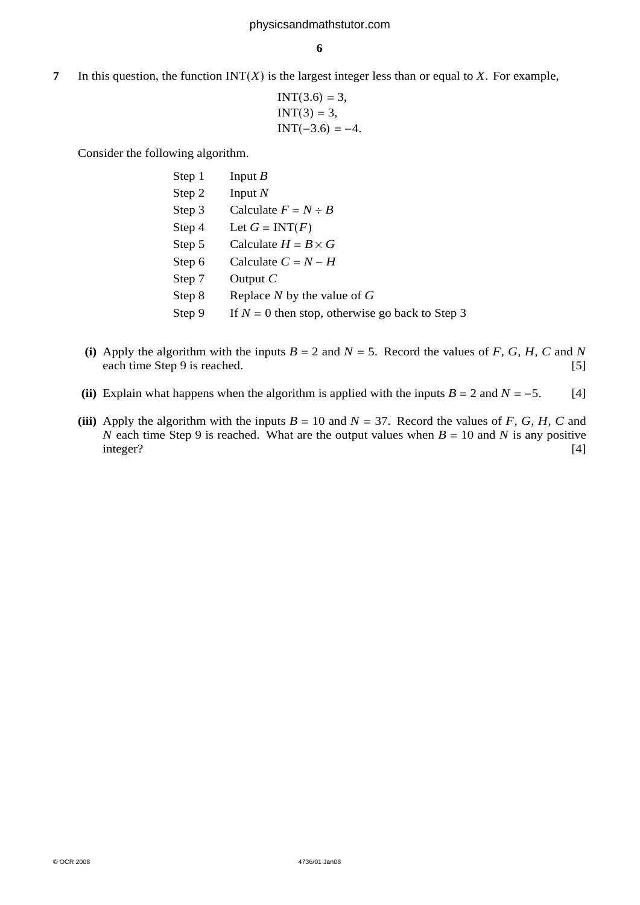**6**

**7** In this question, the function INT(*X*) is the largest integer less than or equal to *X*. For example,

```
INT(3.6) = 3,INT(3) = 3,INT(-3.6) = -4.
```
Consider the following algorithm.

| Step 1 | Input $B$                                         |
|--------|---------------------------------------------------|
| Step 2 | Input $N$                                         |
| Step 3 | Calculate $F = N \div B$                          |
| Step 4 | Let $G = INT(F)$                                  |
| Step 5 | Calculate $H = B \times G$                        |
| Step 6 | Calculate $C = N - H$                             |
| Step 7 | Output $C$                                        |
| Step 8 | Replace $N$ by the value of $G$                   |
| Step 9 | If $N = 0$ then stop, otherwise go back to Step 3 |
|        |                                                   |

- (i) Apply the algorithm with the inputs  $B = 2$  and  $N = 5$ . Record the values of *F*, *G*, *H*, *C* and *N* each time Step 9 is reached. [5] each time Step 9 is reached.
- (ii) Explain what happens when the algorithm is applied with the inputs  $B = 2$  and  $N = -5$ . [4]
- (iii) Apply the algorithm with the inputs  $B = 10$  and  $N = 37$ . Record the values of *F*, *G*, *H*, *C* and *N* each time Step 9 is reached. What are the output values when  $B = 10$  and *N* is any positive integer? integer? [4]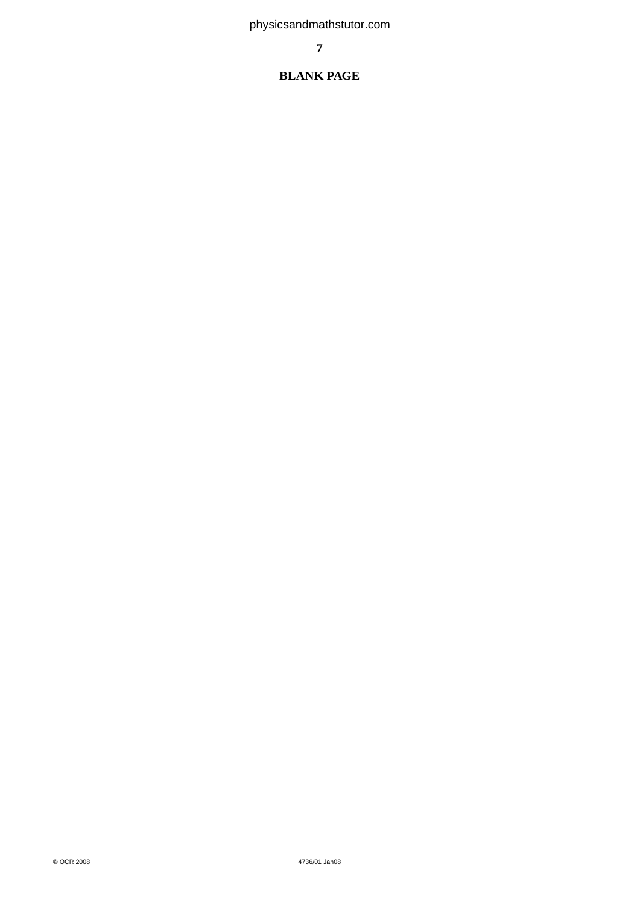## **7**

# **BLANK PAGE**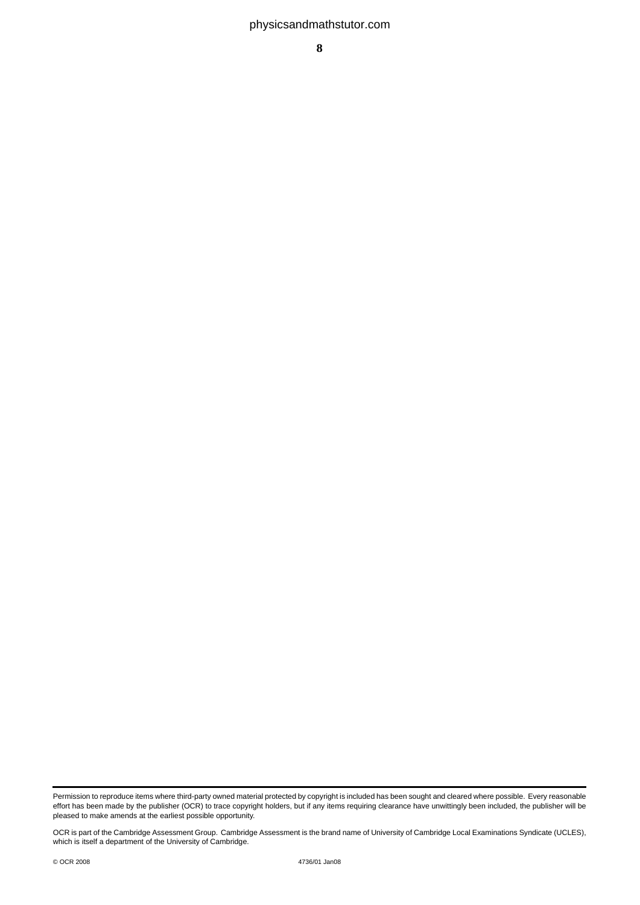Permission to reproduce items where third-party owned material protected by copyright is included has been sought and cleared where possible. Every reasonable effort has been made by the publisher (OCR) to trace copyright holders, but if any items requiring clearance have unwittingly been included, the publisher will be pleased to make amends at the earliest possible opportunity.

OCR is part of the Cambridge Assessment Group. Cambridge Assessment is the brand name of University of Cambridge Local Examinations Syndicate (UCLES), which is itself a department of the University of Cambridge.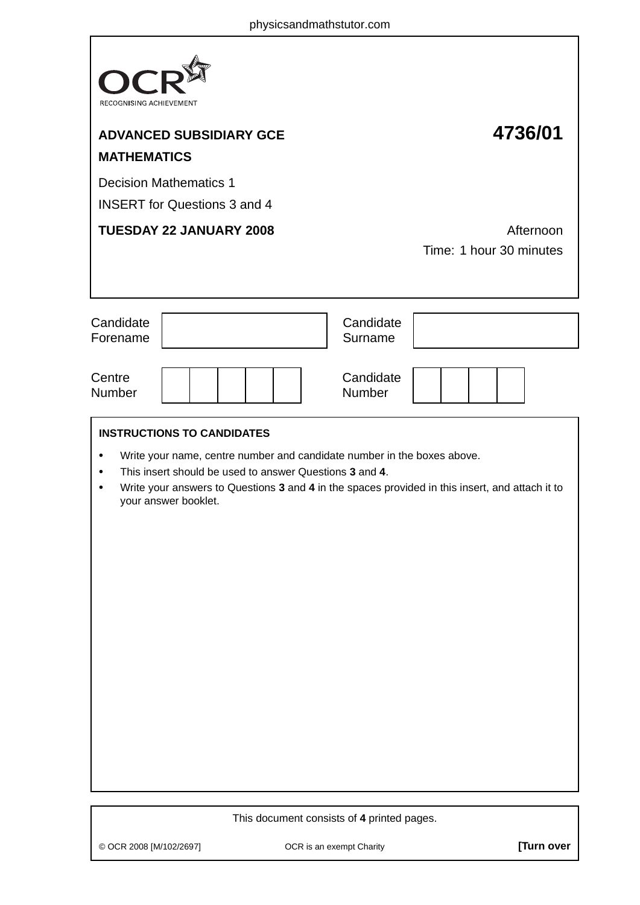| $\bigcap \bigcap$<br>RECOGNISING ACHIEVEMENT<br><b>ADVANCED SUBSIDIARY GCE</b><br><b>MATHEMATICS</b><br><b>Decision Mathematics 1</b><br><b>INSERT for Questions 3 and 4</b><br><b>TUESDAY 22 JANUARY 2008</b>                         | 4736/01<br>Afternoon<br>Time: 1 hour 30 minutes                                                                                               |
|----------------------------------------------------------------------------------------------------------------------------------------------------------------------------------------------------------------------------------------|-----------------------------------------------------------------------------------------------------------------------------------------------|
| Candidate<br>Forename<br>Centre<br>Number                                                                                                                                                                                              | Candidate<br>Surname<br>Candidate<br>Number                                                                                                   |
| <b>INSTRUCTIONS TO CANDIDATES</b><br>Write your name, centre number and candidate number in the boxes above.<br>$\bullet$<br>This insert should be used to answer Questions 3 and 4.<br>$\bullet$<br>$\bullet$<br>your answer booklet. | Write your answers to Questions 3 and 4 in the spaces provided in this insert, and attach it to<br>This document consists of 4 printed pages. |

© OCR 2008 [M/102/2697] OCR is an exempt Charity **[Turn over**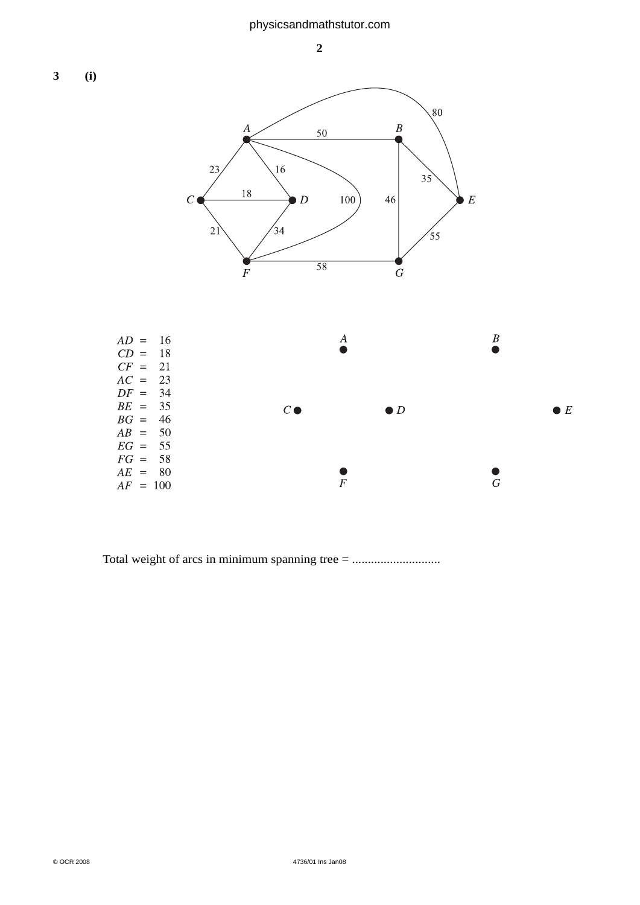



Total weight of arcs in minimum spanning tree = .................................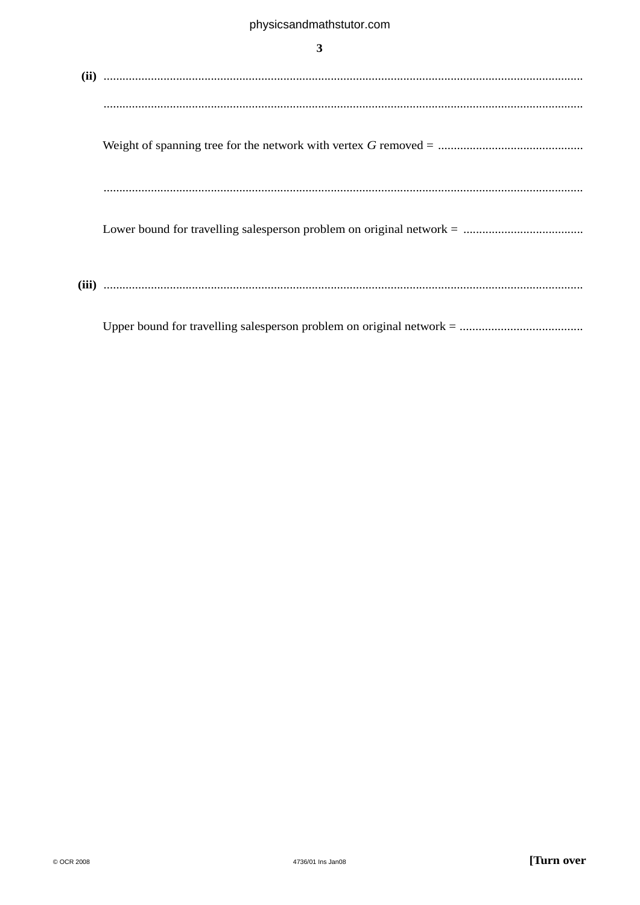| 3 |  |  |  |  |
|---|--|--|--|--|
|   |  |  |  |  |
|   |  |  |  |  |
|   |  |  |  |  |
|   |  |  |  |  |
|   |  |  |  |  |
|   |  |  |  |  |
|   |  |  |  |  |